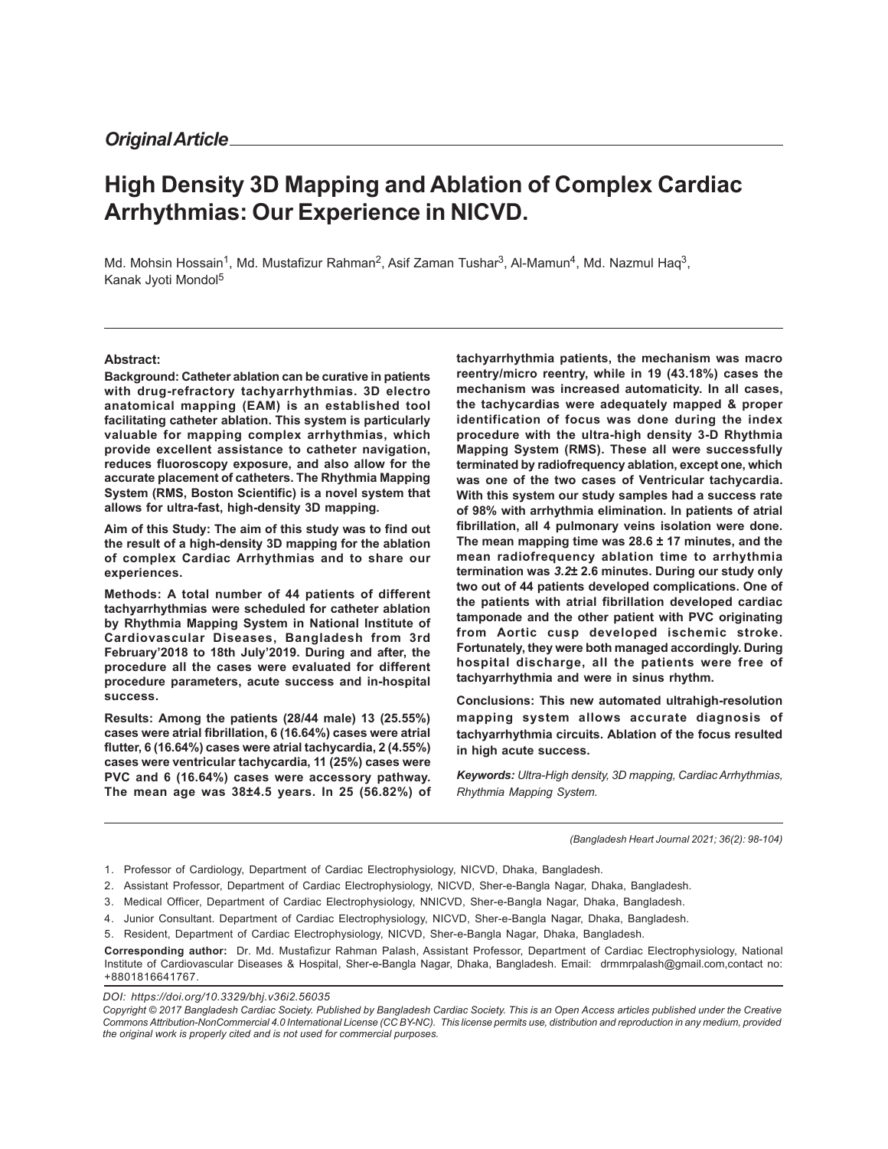# **High Density 3D Mapping and Ablation of Complex Cardiac Arrhythmias: Our Experience in NICVD.**

Md. Mohsin Hossain<sup>1</sup>, Md. Mustafizur Rahman<sup>2</sup>, Asif Zaman Tushar<sup>3</sup>, Al-Mamun<sup>4</sup>, Md. Nazmul Haq<sup>3</sup>, Kanak Jyoti Mondol<sup>5</sup>

#### **Abstract:**

**Background: Catheter ablation can be curative in patients with drug-refractory tachyarrhythmias. 3D electro anatomical mapping (EAM) is an established tool facilitating catheter ablation. This system is particularly valuable for mapping complex arrhythmias, which provide excellent assistance to catheter navigation, reduces fluoroscopy exposure, and also allow for the accurate placement of catheters. The Rhythmia Mapping System (RMS, Boston Scientific) is a novel system that allows for ultra-fast, high-density 3D mapping.**

**Aim of this Study: The aim of this study was to find out the result of a high-density 3D mapping for the ablation of complex Cardiac Arrhythmias and to share our experiences.**

**Methods: A total number of 44 patients of different tachyarrhythmias were scheduled for catheter ablation by Rhythmia Mapping System in National Institute of Cardiovascular Diseases, Bangladesh from 3rd February'2018 to 18th July'2019. During and after, the procedure all the cases were evaluated for different procedure parameters, acute success and in-hospital success.**

**Results: Among the patients (28/44 male) 13 (25.55%) cases were atrial fibrillation, 6 (16.64%) cases were atrial flutter, 6 (16.64%) cases were atrial tachycardia, 2 (4.55%) cases were ventricular tachycardia, 11 (25%) cases were PVC and 6 (16.64%) cases were accessory pathway. The mean age was 38±4.5 years. In 25 (56.82%) of** **tachyarrhythmia patients, the mechanism was macro reentry/micro reentry, while in 19 (43.18%) cases the mechanism was increased automaticity. In all cases, the tachycardias were adequately mapped & proper identification of focus was done during the index procedure with the ultra-high density 3-D Rhythmia Mapping System (RMS). These all were successfully terminated by radiofrequency ablation, except one, which was one of the two cases of Ventricular tachycardia. With this system our study samples had a success rate of 98% with arrhythmia elimination. In patients of atrial fibrillation, all 4 pulmonary veins isolation were done. The mean mapping time was 28.6 ± 17 minutes, and the mean radiofrequency ablation time to arrhythmia termination was** *3.2***± 2.6 minutes. During our study only two out of 44 patients developed complications. One of the patients with atrial fibrillation developed cardiac tamponade and the other patient with PVC originating from Aortic cusp developed ischemic stroke. Fortunately, they were both managed accordingly. During hospital discharge, all the patients were free of tachyarrhythmia and were in sinus rhythm.**

**Conclusions: This new automated ultrahigh-resolution mapping system allows accurate diagnosis of tachyarrhythmia circuits. Ablation of the focus resulted in high acute success.**

*Keywords: Ultra-High density, 3D mapping, Cardiac Arrhythmias, Rhythmia Mapping System.*

*(Bangladesh Heart Journal 2021; 36(2): 98-104)*

1. Professor of Cardiology, Department of Cardiac Electrophysiology, NICVD, Dhaka, Bangladesh.

2. Assistant Professor, Department of Cardiac Electrophysiology, NICVD, Sher-e-Bangla Nagar, Dhaka, Bangladesh.

3. Medical Officer, Department of Cardiac Electrophysiology, NNICVD, Sher-e-Bangla Nagar, Dhaka, Bangladesh.

4. Junior Consultant. Department of Cardiac Electrophysiology, NICVD, Sher-e-Bangla Nagar, Dhaka, Bangladesh.

5. Resident, Department of Cardiac Electrophysiology, NICVD, Sher-e-Bangla Nagar, Dhaka, Bangladesh.

**Corresponding author:** Dr. Md. Mustafizur Rahman Palash, Assistant Professor, Department of Cardiac Electrophysiology, National Institute of Cardiovascular Diseases & Hospital, Sher-e-Bangla Nagar, Dhaka, Bangladesh. Email: drmmrpalash@gmail.com,contact no: +8801816641767.

*DOI: https://doi.org/10.3329/bhj.v36i2.56035*

*Copyright © 2017 Bangladesh Cardiac Society. Published by Bangladesh Cardiac Society. This is an Open Access articles published under the Creative Commons Attribution-NonCommercial 4.0 International License (CC BY-NC). This license permits use, distribution and reproduction in any medium, provided the original work is properly cited and is not used for commercial purposes.*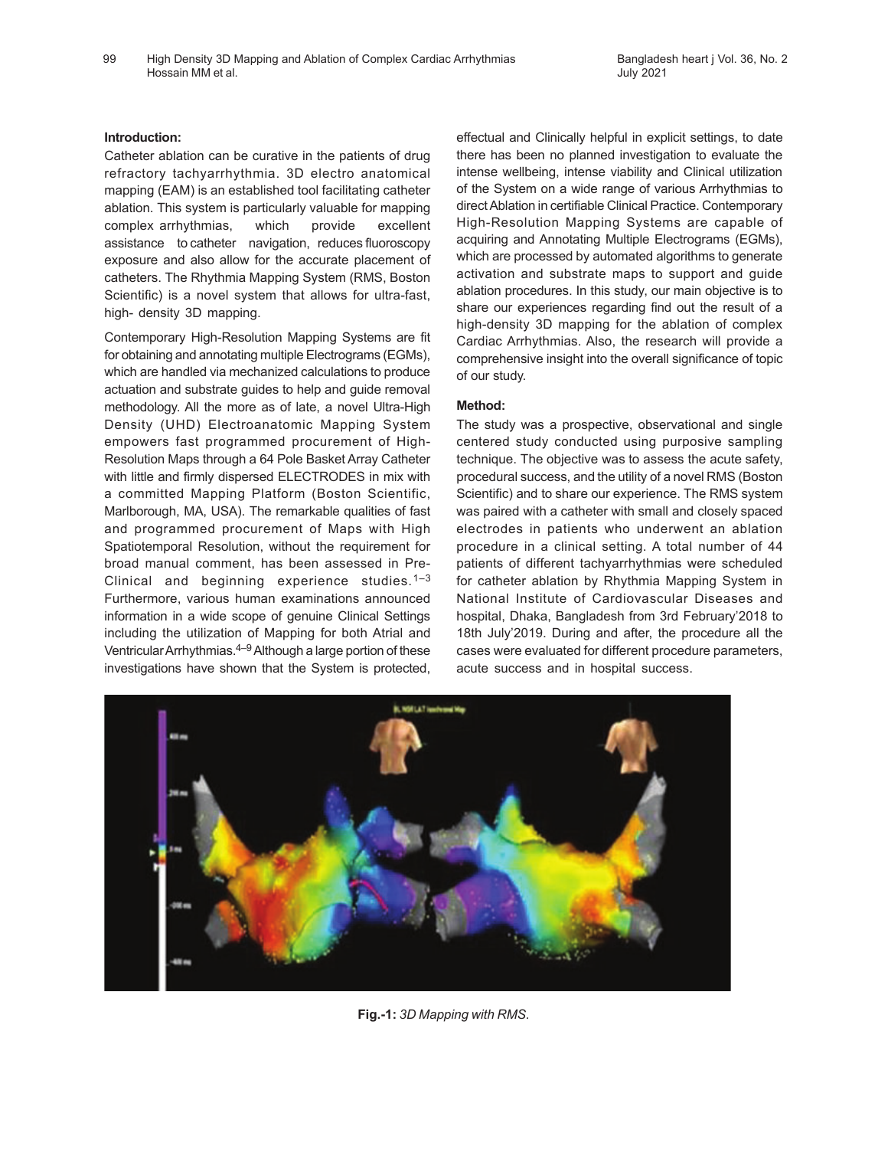#### **Introduction:**

Catheter ablation can be curative in the patients of drug refractory tachyarrhythmia. 3D electro anatomical mapping (EAM) is an established tool facilitating catheter ablation. This system is particularly valuable for mapping complex arrhythmias, which provide excellent assistance to catheter navigation, reduces fluoroscopy exposure and also allow for the accurate placement of catheters. The Rhythmia Mapping System (RMS, Boston Scientific) is a novel system that allows for ultra-fast, high- density 3D mapping.

Contemporary High-Resolution Mapping Systems are fit for obtaining and annotating multiple Electrograms (EGMs), which are handled via mechanized calculations to produce actuation and substrate guides to help and guide removal methodology. All the more as of late, a novel Ultra-High Density (UHD) Electroanatomic Mapping System empowers fast programmed procurement of High-Resolution Maps through a 64 Pole Basket Array Catheter with little and firmly dispersed ELECTRODES in mix with a committed Mapping Platform (Boston Scientific, Marlborough, MA, USA). The remarkable qualities of fast and programmed procurement of Maps with High Spatiotemporal Resolution, without the requirement for broad manual comment, has been assessed in Pre-Clinical and beginning experience studies.<sup>1-3</sup> Furthermore, various human examinations announced information in a wide scope of genuine Clinical Settings including the utilization of Mapping for both Atrial and Ventricular Arrhythmias.4–9Although a large portion of these investigations have shown that the System is protected,

effectual and Clinically helpful in explicit settings, to date there has been no planned investigation to evaluate the intense wellbeing, intense viability and Clinical utilization of the System on a wide range of various Arrhythmias to direct Ablation in certifiable Clinical Practice. Contemporary High-Resolution Mapping Systems are capable of acquiring and Annotating Multiple Electrograms (EGMs), which are processed by automated algorithms to generate activation and substrate maps to support and guide ablation procedures. In this study, our main objective is to share our experiences regarding find out the result of a high-density 3D mapping for the ablation of complex Cardiac Arrhythmias. Also, the research will provide a comprehensive insight into the overall significance of topic of our study.

## **Method:**

The study was a prospective, observational and single centered study conducted using purposive sampling technique. The objective was to assess the acute safety, procedural success, and the utility of a novel RMS (Boston Scientific) and to share our experience. The RMS system was paired with a catheter with small and closely spaced electrodes in patients who underwent an ablation procedure in a clinical setting. A total number of 44 patients of different tachyarrhythmias were scheduled for catheter ablation by Rhythmia Mapping System in National Institute of Cardiovascular Diseases and hospital, Dhaka, Bangladesh from 3rd February'2018 to 18th July'2019. During and after, the procedure all the cases were evaluated for different procedure parameters, acute success and in hospital success.



**Fig.-1:** *3D Mapping with RMS.*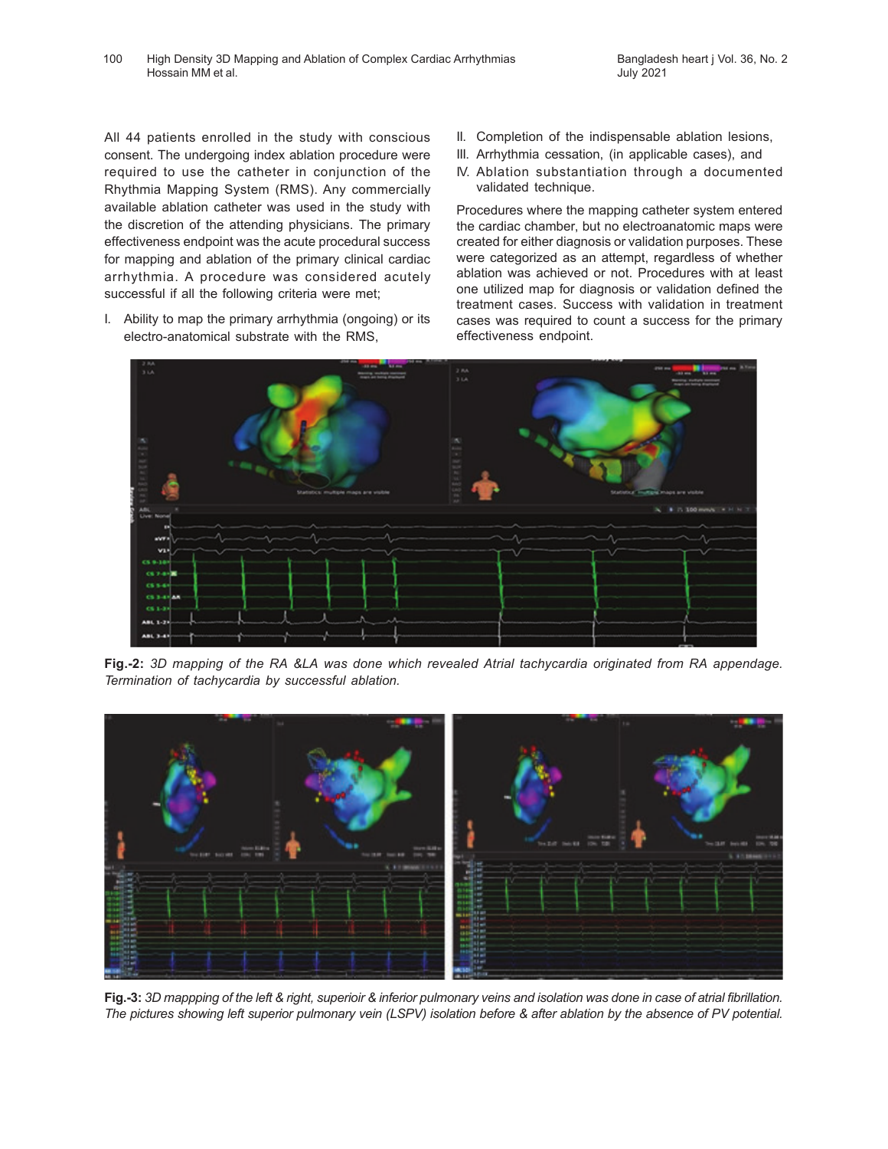All 44 patients enrolled in the study with conscious consent. The undergoing index ablation procedure were required to use the catheter in conjunction of the Rhythmia Mapping System (RMS). Any commercially available ablation catheter was used in the study with the discretion of the attending physicians. The primary effectiveness endpoint was the acute procedural success for mapping and ablation of the primary clinical cardiac arrhythmia. A procedure was considered acutely successful if all the following criteria were met;

I. Ability to map the primary arrhythmia (ongoing) or its electro-anatomical substrate with the RMS,

- II. Completion of the indispensable ablation lesions,
- III. Arrhythmia cessation, (in applicable cases), and
- IV. Ablation substantiation through a documented validated technique.

Procedures where the mapping catheter system entered the cardiac chamber, but no electroanatomic maps were created for either diagnosis or validation purposes. These were categorized as an attempt, regardless of whether ablation was achieved or not. Procedures with at least one utilized map for diagnosis or validation defined the treatment cases. Success with validation in treatment cases was required to count a success for the primary effectiveness endpoint.



**Fig.-2:** *3D mapping of the RA &LA was done which revealed Atrial tachycardia originated from RA appendage. Termination of tachycardia by successful ablation.*



**Fig.-3:** *3D mappping of the left & right, superioir & inferior pulmonary veins and isolation was done in case of atrial fibrillation. The pictures showing left superior pulmonary vein (LSPV) isolation before & after ablation by the absence of PV potential.*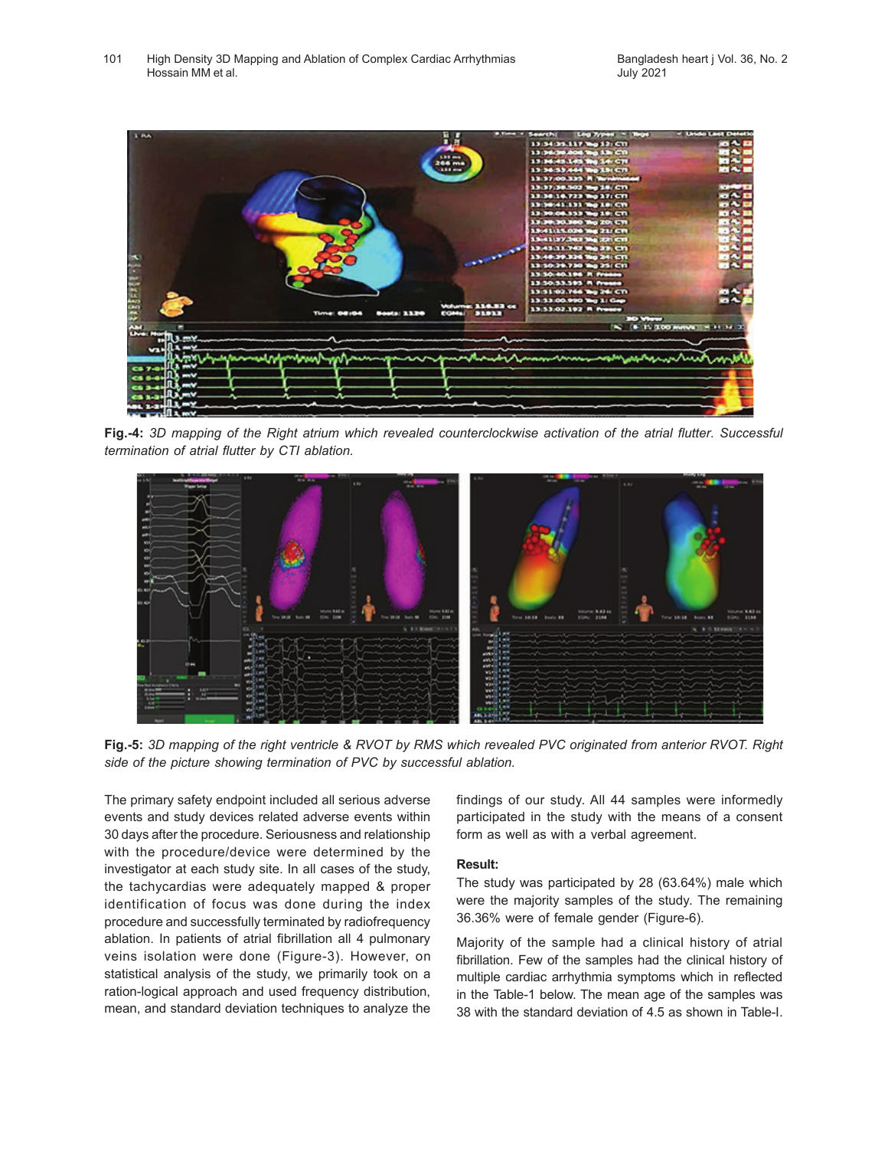

**Fig.-4:** *3D mapping of the Right atrium which revealed counterclockwise activation of the atrial flutter. Successful termination of atrial flutter by CTI ablation.*



**Fig.-5:** *3D mapping of the right ventricle & RVOT by RMS which revealed PVC originated from anterior RVOT. Right side of the picture showing termination of PVC by successful ablation.*

The primary safety endpoint included all serious adverse events and study devices related adverse events within 30 days after the procedure. Seriousness and relationship with the procedure/device were determined by the investigator at each study site. In all cases of the study, the tachycardias were adequately mapped & proper identification of focus was done during the index procedure and successfully terminated by radiofrequency ablation. In patients of atrial fibrillation all 4 pulmonary veins isolation were done (Figure-3). However, on statistical analysis of the study, we primarily took on a ration-logical approach and used frequency distribution, mean, and standard deviation techniques to analyze the findings of our study. All 44 samples were informedly participated in the study with the means of a consent form as well as with a verbal agreement.

#### **Result:**

The study was participated by 28 (63.64%) male which were the majority samples of the study. The remaining 36.36% were of female gender (Figure-6).

Majority of the sample had a clinical history of atrial fibrillation. Few of the samples had the clinical history of multiple cardiac arrhythmia symptoms which in reflected in the Table-1 below. The mean age of the samples was 38 with the standard deviation of 4.5 as shown in Table-I.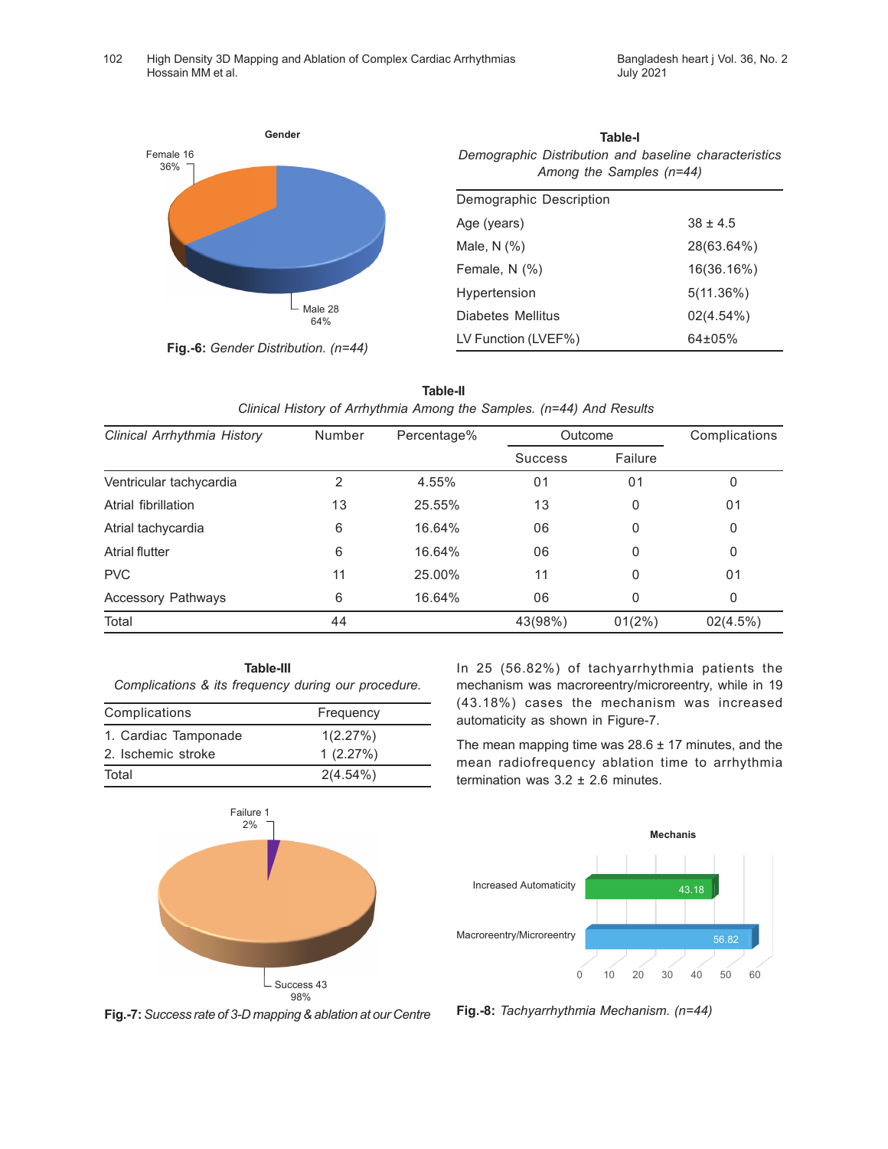

**Fig.-6:** *Gender Distribution. (n=44)*

| Gender | Table-l                                               |
|--------|-------------------------------------------------------|
|        | Demographic Distribution and baseline characteristics |
|        | Among the Samples (n=44)                              |

| Demographic Description |              |
|-------------------------|--------------|
| Age (years)             | $38 + 4.5$   |
| Male, $N$ $(\%)$        | 28(63.64%)   |
| Female, $N$ $(\%)$      | 16(36.16%)   |
| Hypertension            | $5(11.36\%)$ |
| Diabetes Mellitus       | 02(4.54%)    |
| LV Function (LVEF%)     | $64\pm05\%$  |

|                                                                      | Table-II |  |
|----------------------------------------------------------------------|----------|--|
| Clinical History of Arrhythmia Among the Samples. (n=44) And Results |          |  |

| Clinical Arrhythmia History | Number | Percentage% | Outcome        |                | Complications |
|-----------------------------|--------|-------------|----------------|----------------|---------------|
|                             |        |             | <b>Success</b> | Failure        |               |
| Ventricular tachycardia     | 2      | 4.55%       | 01             | 0 <sub>1</sub> | 0             |
| Atrial fibrillation         | 13     | 25.55%      | 13             | 0              | 01            |
| Atrial tachycardia          | 6      | 16.64%      | 06             | 0              | 0             |
| <b>Atrial flutter</b>       | 6      | 16.64%      | 06             | 0              | 0             |
| <b>PVC</b>                  | 11     | 25.00%      | 11             | 0              | 01            |
| <b>Accessory Pathways</b>   | 6      | 16.64%      | 06             | 0              | 0             |
| Total                       | 44     |             | 43(98%)        | $01(2\%)$      | 02(4.5%)      |

**Table-III** *Complications & its frequency during our procedure.*

| Complications        | Frequency   |
|----------------------|-------------|
| 1. Cardiac Tamponade | 1(2.27%)    |
| 2. Ischemic stroke   | 1(2.27%)    |
| Total                | $2(4.54\%)$ |

In 25 (56.82%) of tachyarrhythmia patients the mechanism was macroreentry/microreentry, while in 19 (43.18%) cases the mechanism was increased automaticity as shown in Figure-7.

The mean mapping time was  $28.6 \pm 17$  minutes, and the mean radiofrequency ablation time to arrhythmia termination was  $3.2 \pm 2.6$  minutes.





**Fig.-7:** *Success rate of 3-D mapping & ablation at our Centre* **Fig.-8:** *Tachyarrhythmia Mechanism. (n=44)*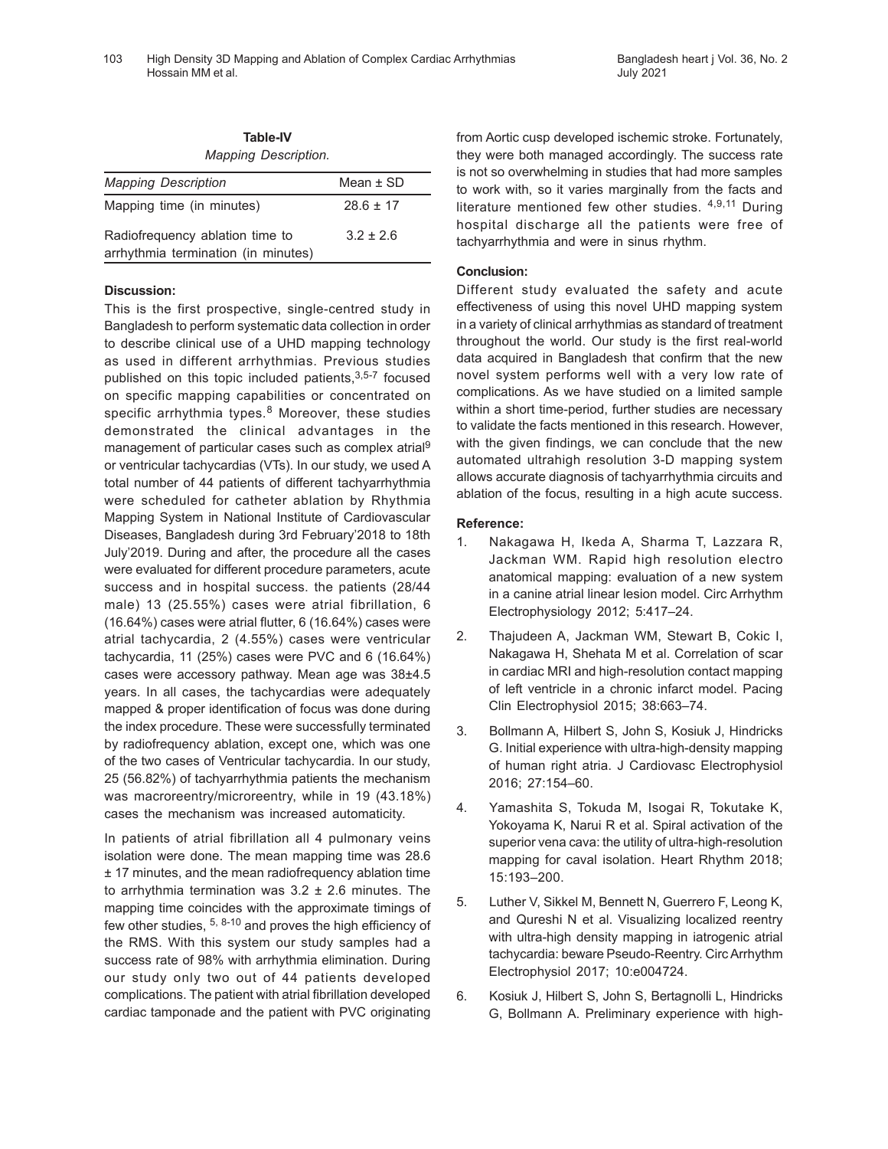| <b>Table-IV</b><br><b>Mapping Description.</b> |               |
|------------------------------------------------|---------------|
| <b>Mapping Description</b>                     | Mean $\pm$ SD |
| Mapping time (in minutes)                      | $28.6 \pm 17$ |
| Radiofrequency ablation time to                | $3.2 \pm 2.6$ |

arrhythmia termination (in minutes)

**Discussion:**

This is the first prospective, single-centred study in Bangladesh to perform systematic data collection in order to describe clinical use of a UHD mapping technology as used in different arrhythmias. Previous studies published on this topic included patients, 3,5-7 focused on specific mapping capabilities or concentrated on specific arrhythmia types.<sup>8</sup> Moreover, these studies demonstrated the clinical advantages in the management of particular cases such as complex atrial<sup>9</sup> or ventricular tachycardias (VTs). In our study, we used A total number of 44 patients of different tachyarrhythmia were scheduled for catheter ablation by Rhythmia Mapping System in National Institute of Cardiovascular Diseases, Bangladesh during 3rd February'2018 to 18th July'2019. During and after, the procedure all the cases were evaluated for different procedure parameters, acute success and in hospital success. the patients (28/44 male) 13 (25.55%) cases were atrial fibrillation, 6 (16.64%) cases were atrial flutter, 6 (16.64%) cases were atrial tachycardia, 2 (4.55%) cases were ventricular tachycardia, 11 (25%) cases were PVC and 6 (16.64%) cases were accessory pathway. Mean age was 38±4.5 years. In all cases, the tachycardias were adequately mapped & proper identification of focus was done during the index procedure. These were successfully terminated by radiofrequency ablation, except one, which was one of the two cases of Ventricular tachycardia. In our study, 25 (56.82%) of tachyarrhythmia patients the mechanism was macroreentry/microreentry, while in 19 (43.18%) cases the mechanism was increased automaticity.

In patients of atrial fibrillation all 4 pulmonary veins isolation were done. The mean mapping time was 28.6 ± 17 minutes, and the mean radiofrequency ablation time to arrhythmia termination was  $3.2 \pm 2.6$  minutes. The mapping time coincides with the approximate timings of few other studies, 5, 8-10 and proves the high efficiency of the RMS. With this system our study samples had a success rate of 98% with arrhythmia elimination. During our study only two out of 44 patients developed complications. The patient with atrial fibrillation developed cardiac tamponade and the patient with PVC originating from Aortic cusp developed ischemic stroke. Fortunately, they were both managed accordingly. The success rate is not so overwhelming in studies that had more samples to work with, so it varies marginally from the facts and literature mentioned few other studies. 4,9,11 During hospital discharge all the patients were free of tachyarrhythmia and were in sinus rhythm.

## **Conclusion:**

Different study evaluated the safety and acute effectiveness of using this novel UHD mapping system in a variety of clinical arrhythmias as standard of treatment throughout the world. Our study is the first real-world data acquired in Bangladesh that confirm that the new novel system performs well with a very low rate of complications. As we have studied on a limited sample within a short time-period, further studies are necessary to validate the facts mentioned in this research. However, with the given findings, we can conclude that the new automated ultrahigh resolution 3-D mapping system allows accurate diagnosis of tachyarrhythmia circuits and ablation of the focus, resulting in a high acute success.

## **Reference:**

- 1. Nakagawa H, Ikeda A, Sharma T, Lazzara R, Jackman WM. Rapid high resolution electro anatomical mapping: evaluation of a new system in a canine atrial linear lesion model. Circ Arrhythm Electrophysiology 2012; 5:417–24.
- 2. Thajudeen A, Jackman WM, Stewart B, Cokic I, Nakagawa H, Shehata M et al. Correlation of scar in cardiac MRI and high-resolution contact mapping of left ventricle in a chronic infarct model. Pacing Clin Electrophysiol 2015; 38:663–74.
- 3. Bollmann A, Hilbert S, John S, Kosiuk J, Hindricks G. Initial experience with ultra-high-density mapping of human right atria. J Cardiovasc Electrophysiol 2016; 27:154–60.
- 4. Yamashita S, Tokuda M, Isogai R, Tokutake K, Yokoyama K, Narui R et al. Spiral activation of the superior vena cava: the utility of ultra-high-resolution mapping for caval isolation. Heart Rhythm 2018; 15:193–200.
- 5. Luther V, Sikkel M, Bennett N, Guerrero F, Leong K, and Qureshi N et al. Visualizing localized reentry with ultra-high density mapping in iatrogenic atrial tachycardia: beware Pseudo-Reentry. CircArrhythm Electrophysiol 2017; 10:e004724.
- 6. Kosiuk J, Hilbert S, John S, Bertagnolli L, Hindricks G, Bollmann A. Preliminary experience with high-